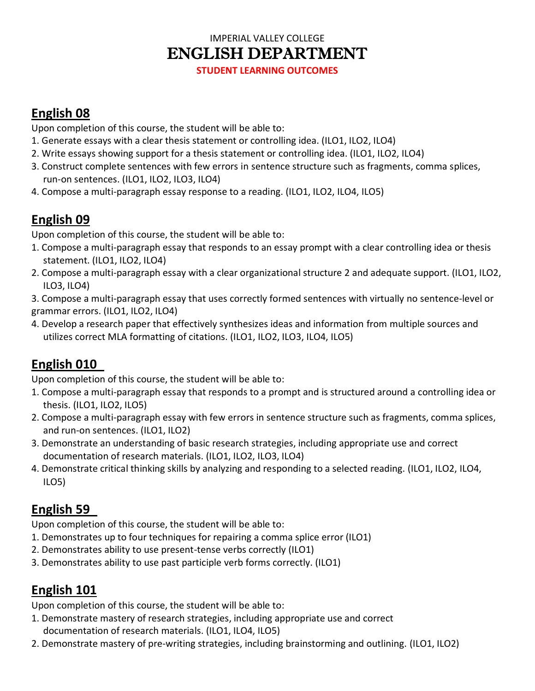### IMPERIAL VALLEY COLLEGE ENGLISH DEPARTMENT

**STUDENT LEARNING OUTCOMES**

#### **English 08**

Upon completion of this course, the student will be able to:

- 1. Generate essays with a clear thesis statement or controlling idea. (ILO1, ILO2, ILO4)
- 2. Write essays showing support for a thesis statement or controlling idea. (ILO1, ILO2, ILO4)
- 3. Construct complete sentences with few errors in sentence structure such as fragments, comma splices, run-on sentences. (ILO1, ILO2, ILO3, ILO4)
- 4. Compose a multi-paragraph essay response to a reading. (ILO1, ILO2, ILO4, ILO5)

# **English 09**

Upon completion of this course, the student will be able to:

- 1. Compose a multi-paragraph essay that responds to an essay prompt with a clear controlling idea or thesis statement. (ILO1, ILO2, ILO4)
- 2. Compose a multi-paragraph essay with a clear organizational structure 2 and adequate support. (ILO1, ILO2, ILO3, ILO4)
- 3. Compose a multi-paragraph essay that uses correctly formed sentences with virtually no sentence-level or grammar errors. (ILO1, ILO2, ILO4)
- 4. Develop a research paper that effectively synthesizes ideas and information from multiple sources and utilizes correct MLA formatting of citations. (ILO1, ILO2, ILO3, ILO4, ILO5)

# **English 010**

Upon completion of this course, the student will be able to:

- 1. Compose a multi-paragraph essay that responds to a prompt and is structured around a controlling idea or thesis. (ILO1, ILO2, ILO5)
- 2. Compose a multi-paragraph essay with few errors in sentence structure such as fragments, comma splices, and run-on sentences. (ILO1, ILO2)
- 3. Demonstrate an understanding of basic research strategies, including appropriate use and correct documentation of research materials. (ILO1, ILO2, ILO3, ILO4)
- 4. Demonstrate critical thinking skills by analyzing and responding to a selected reading. (ILO1, ILO2, ILO4, ILO5)

## **English 59**

Upon completion of this course, the student will be able to:

- 1. Demonstrates up to four techniques for repairing a comma splice error (ILO1)
- 2. Demonstrates ability to use present-tense verbs correctly (ILO1)
- 3. Demonstrates ability to use past participle verb forms correctly. (ILO1)

## **English 101**

Upon completion of this course, the student will be able to:

- 1. Demonstrate mastery of research strategies, including appropriate use and correct documentation of research materials. (ILO1, ILO4, ILO5)
- 2. Demonstrate mastery of pre-writing strategies, including brainstorming and outlining. (ILO1, ILO2)